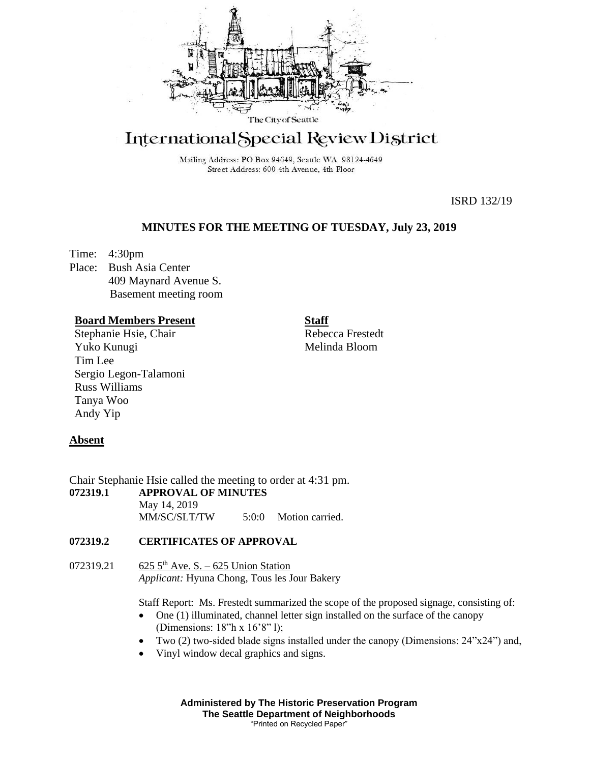

# International Special Review District

Mailing Address: PO Box 94649, Seattle WA 98124-4649 Street Address: 600 4th Avenue, 4th Floor

ISRD 132/19

## **MINUTES FOR THE MEETING OF TUESDAY, July 23, 2019**

Time: 4:30pm Place: Bush Asia Center 409 Maynard Avenue S. Basement meeting room

#### **Board Members Present**

Stephanie Hsie, Chair Yuko Kunugi Tim Lee Sergio Legon-Talamoni Russ Williams Tanya Woo Andy Yip

**Staff**

Rebecca Frestedt Melinda Bloom

## **Absent**

Chair Stephanie Hsie called the meeting to order at 4:31 pm. **072319.1 APPROVAL OF MINUTES** May 14, 2019 MM/SC/SLT/TW 5:0:0 Motion carried.

## **072319.2 CERTIFICATES OF APPROVAL**

072319.21 625  $5<sup>th</sup>$  Ave. S. – 625 Union Station *Applicant:* Hyuna Chong, Tous les Jour Bakery

Staff Report: Ms. Frestedt summarized the scope of the proposed signage, consisting of:

- One (1) illuminated, channel letter sign installed on the surface of the canopy (Dimensions: 18"h x 16'8" l);
- Two (2) two-sided blade signs installed under the canopy (Dimensions: 24"x24") and,
- Vinyl window decal graphics and signs.

**Administered by The Historic Preservation Program The Seattle Department of Neighborhoods** "Printed on Recycled Paper"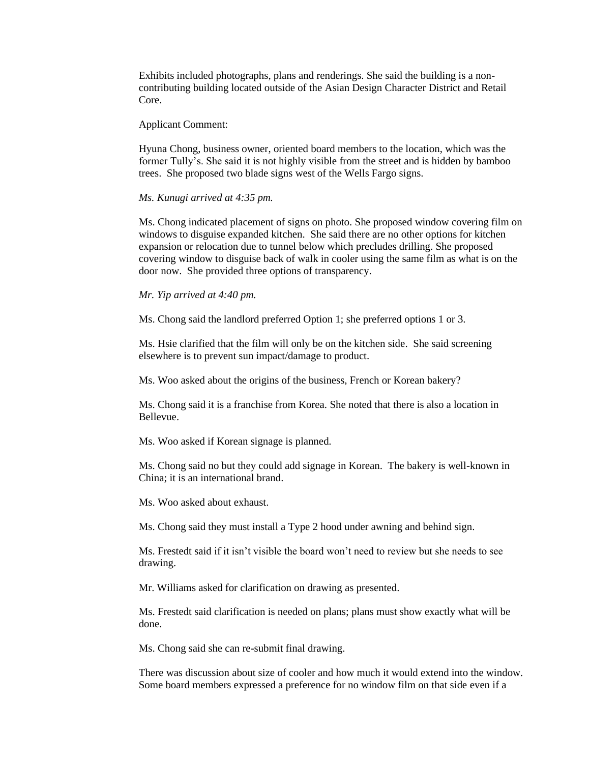Exhibits included photographs, plans and renderings. She said the building is a noncontributing building located outside of the Asian Design Character District and Retail Core.

#### Applicant Comment:

Hyuna Chong, business owner, oriented board members to the location, which was the former Tully's. She said it is not highly visible from the street and is hidden by bamboo trees. She proposed two blade signs west of the Wells Fargo signs.

#### *Ms. Kunugi arrived at 4:35 pm.*

Ms. Chong indicated placement of signs on photo. She proposed window covering film on windows to disguise expanded kitchen. She said there are no other options for kitchen expansion or relocation due to tunnel below which precludes drilling. She proposed covering window to disguise back of walk in cooler using the same film as what is on the door now. She provided three options of transparency.

#### *Mr. Yip arrived at 4:40 pm.*

Ms. Chong said the landlord preferred Option 1; she preferred options 1 or 3.

Ms. Hsie clarified that the film will only be on the kitchen side. She said screening elsewhere is to prevent sun impact/damage to product.

Ms. Woo asked about the origins of the business, French or Korean bakery?

Ms. Chong said it is a franchise from Korea. She noted that there is also a location in Bellevue.

Ms. Woo asked if Korean signage is planned.

Ms. Chong said no but they could add signage in Korean. The bakery is well-known in China; it is an international brand.

Ms. Woo asked about exhaust.

Ms. Chong said they must install a Type 2 hood under awning and behind sign.

Ms. Frestedt said if it isn't visible the board won't need to review but she needs to see drawing.

Mr. Williams asked for clarification on drawing as presented.

Ms. Frestedt said clarification is needed on plans; plans must show exactly what will be done.

Ms. Chong said she can re-submit final drawing.

There was discussion about size of cooler and how much it would extend into the window. Some board members expressed a preference for no window film on that side even if a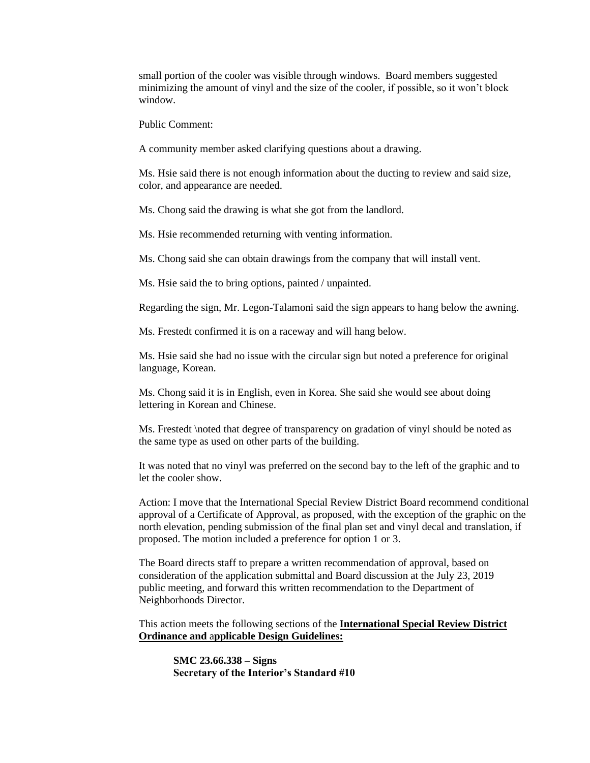small portion of the cooler was visible through windows. Board members suggested minimizing the amount of vinyl and the size of the cooler, if possible, so it won't block window.

Public Comment:

A community member asked clarifying questions about a drawing.

Ms. Hsie said there is not enough information about the ducting to review and said size, color, and appearance are needed.

Ms. Chong said the drawing is what she got from the landlord.

Ms. Hsie recommended returning with venting information.

Ms. Chong said she can obtain drawings from the company that will install vent.

Ms. Hsie said the to bring options, painted / unpainted.

Regarding the sign, Mr. Legon-Talamoni said the sign appears to hang below the awning.

Ms. Frestedt confirmed it is on a raceway and will hang below.

Ms. Hsie said she had no issue with the circular sign but noted a preference for original language, Korean.

Ms. Chong said it is in English, even in Korea. She said she would see about doing lettering in Korean and Chinese.

Ms. Frestedt \noted that degree of transparency on gradation of vinyl should be noted as the same type as used on other parts of the building.

It was noted that no vinyl was preferred on the second bay to the left of the graphic and to let the cooler show.

Action: I move that the International Special Review District Board recommend conditional approval of a Certificate of Approval, as proposed, with the exception of the graphic on the north elevation, pending submission of the final plan set and vinyl decal and translation, if proposed. The motion included a preference for option 1 or 3.

The Board directs staff to prepare a written recommendation of approval, based on consideration of the application submittal and Board discussion at the July 23, 2019 public meeting, and forward this written recommendation to the Department of Neighborhoods Director.

This action meets the following sections of the **International Special Review District Ordinance and** a**pplicable Design Guidelines:**

**SMC 23.66.338 – Signs Secretary of the Interior's Standard #10**